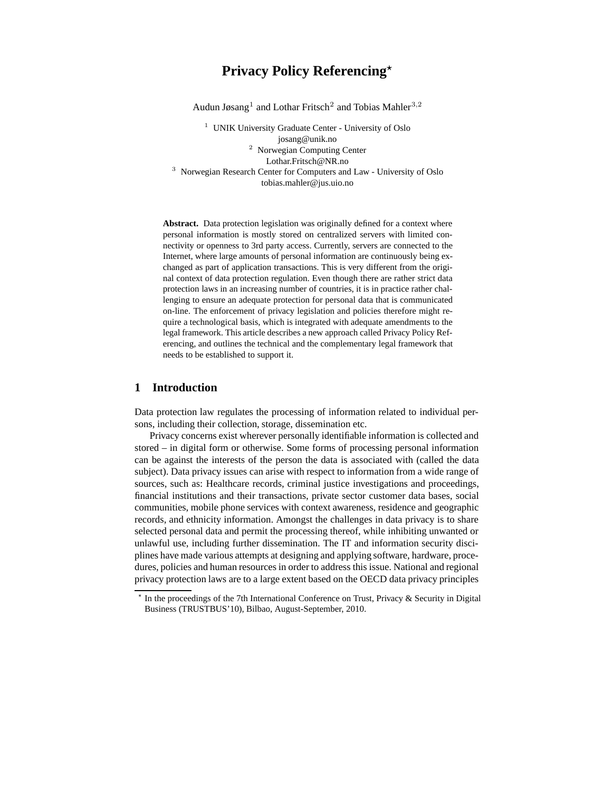# **Privacy Policy Referencing***-*

Audun Jøsang<sup>1</sup> and Lothar Fritsch<sup>2</sup> and Tobias Mahler<sup>3,2</sup>

<sup>1</sup> UNIK University Graduate Center - University of Oslo josang@unik.no <sup>2</sup> Norwegian Computing Center Lothar.Fritsch@NR.no <sup>3</sup> Norwegian Research Center for Computers and Law - University of Oslo

tobias.mahler@jus.uio.no

**Abstract.** Data protection legislation was originally defined for a context where personal information is mostly stored on centralized servers with limited connectivity or openness to 3rd party access. Currently, servers are connected to the Internet, where large amounts of personal information are continuously being exchanged as part of application transactions. This is very different from the original context of data protection regulation. Even though there are rather strict data protection laws in an increasing number of countries, it is in practice rather challenging to ensure an adequate protection for personal data that is communicated on-line. The enforcement of privacy legislation and policies therefore might require a technological basis, which is integrated with adequate amendments to the legal framework. This article describes a new approach called Privacy Policy Referencing, and outlines the technical and the complementary legal framework that needs to be established to support it.

## **1 Introduction**

Data protection law regulates the processing of information related to individual persons, including their collection, storage, dissemination etc.

Privacy concerns exist wherever personally identifiable information is collected and stored – in digital form or otherwise. Some forms of processing personal information can be against the interests of the person the data is associated with (called the data subject). Data privacy issues can arise with respect to information from a wide range of sources, such as: Healthcare records, criminal justice investigations and proceedings, financial institutions and their transactions, private sector customer data bases, social communities, mobile phone services with context awareness, residence and geographic records, and ethnicity information. Amongst the challenges in data privacy is to share selected personal data and permit the processing thereof, while inhibiting unwanted or unlawful use, including further dissemination. The IT and information security disciplines have made various attempts at designing and applying software, hardware, procedures, policies and human resources in order to address this issue. National and regional privacy protection laws are to a large extent based on the OECD data privacy principles

<sup>\*</sup> In the proceedings of the 7th International Conference on Trust, Privacy & Security in Digital Business (TRUSTBUS'10), Bilbao, August-September, 2010.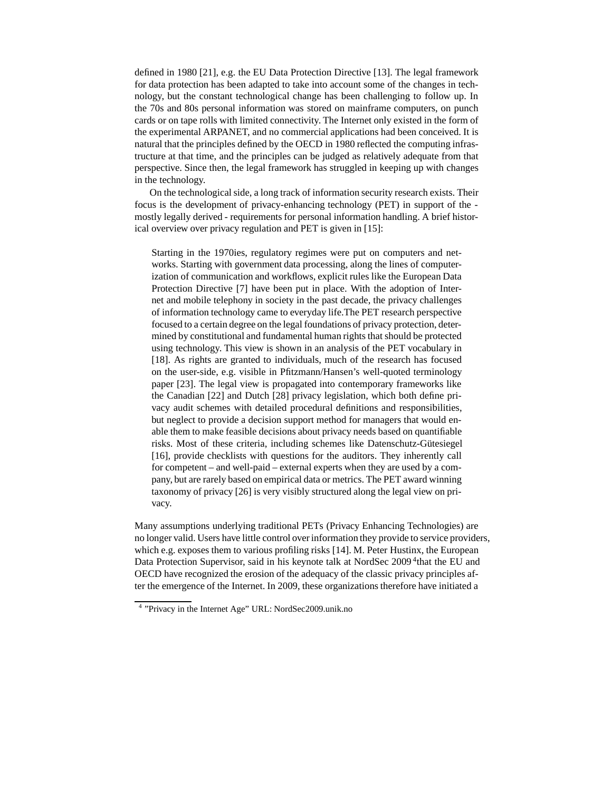defined in 1980 [21], e.g. the EU Data Protection Directive [13]. The legal framework for data protection has been adapted to take into account some of the changes in technology, but the constant technological change has been challenging to follow up. In the 70s and 80s personal information was stored on mainframe computers, on punch cards or on tape rolls with limited connectivity. The Internet only existed in the form of the experimental ARPANET, and no commercial applications had been conceived. It is natural that the principles defined by the OECD in 1980 reflected the computing infrastructure at that time, and the principles can be judged as relatively adequate from that perspective. Since then, the legal framework has struggled in keeping up with changes in the technology.

On the technological side, a long track of information security research exists. Their focus is the development of privacy-enhancing technology (PET) in support of the mostly legally derived - requirements for personal information handling. A brief historical overview over privacy regulation and PET is given in [15]:

Starting in the 1970ies, regulatory regimes were put on computers and networks. Starting with government data processing, along the lines of computerization of communication and workflows, explicit rules like the European Data Protection Directive [7] have been put in place. With the adoption of Internet and mobile telephony in society in the past decade, the privacy challenges of information technology came to everyday life.The PET research perspective focused to a certain degree on the legal foundations of privacy protection, determined by constitutional and fundamental human rights that should be protected using technology. This view is shown in an analysis of the PET vocabulary in [18]. As rights are granted to individuals, much of the research has focused on the user-side, e.g. visible in Pfitzmann/Hansen's well-quoted terminology paper [23]. The legal view is propagated into contemporary frameworks like the Canadian [22] and Dutch [28] privacy legislation, which both define privacy audit schemes with detailed procedural definitions and responsibilities, but neglect to provide a decision support method for managers that would enable them to make feasible decisions about privacy needs based on quantifiable risks. Most of these criteria, including schemes like Datenschutz-Gütesiegel [16], provide checklists with questions for the auditors. They inherently call for competent – and well-paid – external experts when they are used by a company, but are rarely based on empirical data or metrics. The PET award winning taxonomy of privacy [26] is very visibly structured along the legal view on privacy.

Many assumptions underlying traditional PETs (Privacy Enhancing Technologies) are no longer valid. Users have little control over information they provide to service providers, which e.g. exposes them to various profiling risks [14]. M. Peter Hustinx, the European Data Protection Supervisor, said in his keynote talk at NordSec 2009<sup>4</sup> that the EU and OECD have recognized the erosion of the adequacy of the classic privacy principles after the emergence of the Internet. In 2009, these organizations therefore have initiated a

<sup>4</sup> "Privacy in the Internet Age" URL: NordSec2009.unik.no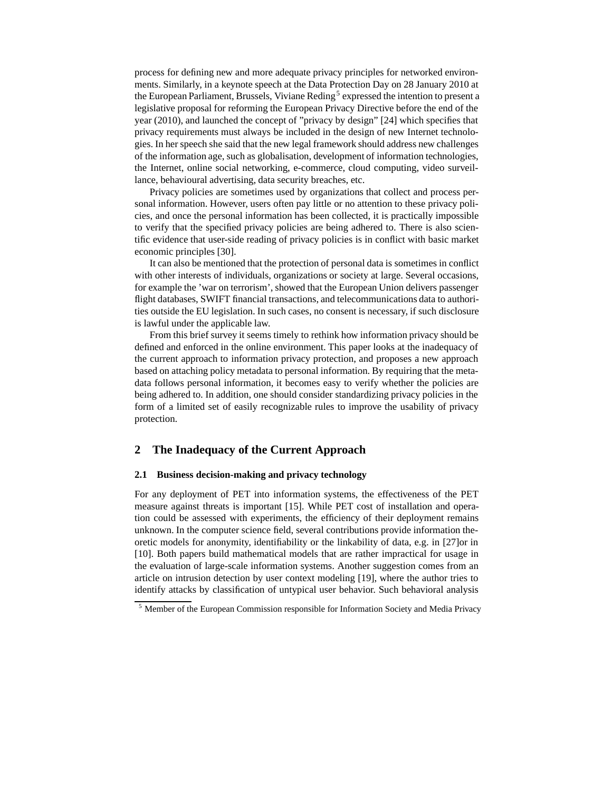process for defining new and more adequate privacy principles for networked environments. Similarly, in a keynote speech at the Data Protection Day on 28 January 2010 at the European Parliament, Brussels, Viviane Reding<sup>5</sup> expressed the intention to present a legislative proposal for reforming the European Privacy Directive before the end of the year (2010), and launched the concept of "privacy by design" [24] which specifies that privacy requirements must always be included in the design of new Internet technologies. In her speech she said that the new legal framework should address new challenges of the information age, such as globalisation, development of information technologies, the Internet, online social networking, e-commerce, cloud computing, video surveillance, behavioural advertising, data security breaches, etc.

Privacy policies are sometimes used by organizations that collect and process personal information. However, users often pay little or no attention to these privacy policies, and once the personal information has been collected, it is practically impossible to verify that the specified privacy policies are being adhered to. There is also scientific evidence that user-side reading of privacy policies is in conflict with basic market economic principles [30].

It can also be mentioned that the protection of personal data is sometimes in conflict with other interests of individuals, organizations or society at large. Several occasions, for example the 'war on terrorism', showed that the European Union delivers passenger flight databases, SWIFT financial transactions, and telecommunications data to authorities outside the EU legislation. In such cases, no consent is necessary, if such disclosure is lawful under the applicable law.

From this brief survey it seems timely to rethink how information privacy should be defined and enforced in the online environment. This paper looks at the inadequacy of the current approach to information privacy protection, and proposes a new approach based on attaching policy metadata to personal information. By requiring that the metadata follows personal information, it becomes easy to verify whether the policies are being adhered to. In addition, one should consider standardizing privacy policies in the form of a limited set of easily recognizable rules to improve the usability of privacy protection.

## **2 The Inadequacy of the Current Approach**

#### **2.1 Business decision-making and privacy technology**

For any deployment of PET into information systems, the effectiveness of the PET measure against threats is important [15]. While PET cost of installation and operation could be assessed with experiments, the efficiency of their deployment remains unknown. In the computer science field, several contributions provide information theoretic models for anonymity, identifiability or the linkability of data, e.g. in [27]or in [10]. Both papers build mathematical models that are rather impractical for usage in the evaluation of large-scale information systems. Another suggestion comes from an article on intrusion detection by user context modeling [19], where the author tries to identify attacks by classification of untypical user behavior. Such behavioral analysis

<sup>5</sup> Member of the European Commission responsible for Information Society and Media Privacy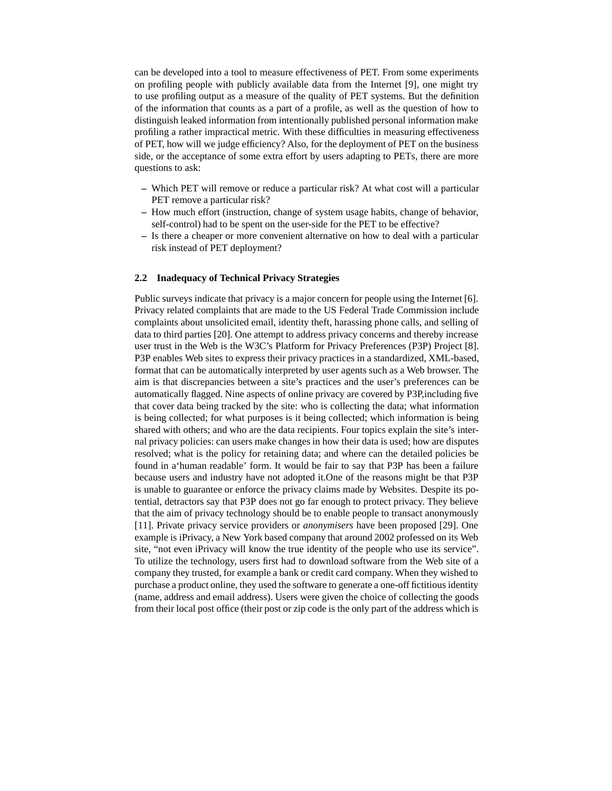can be developed into a tool to measure effectiveness of PET. From some experiments on profiling people with publicly available data from the Internet [9], one might try to use profiling output as a measure of the quality of PET systems. But the definition of the information that counts as a part of a profile, as well as the question of how to distinguish leaked information from intentionally published personal information make profiling a rather impractical metric. With these difficulties in measuring effectiveness of PET, how will we judge efficiency? Also, for the deployment of PET on the business side, or the acceptance of some extra effort by users adapting to PETs, there are more questions to ask:

- **–** Which PET will remove or reduce a particular risk? At what cost will a particular PET remove a particular risk?
- **–** How much effort (instruction, change of system usage habits, change of behavior, self-control) had to be spent on the user-side for the PET to be effective?
- **–** Is there a cheaper or more convenient alternative on how to deal with a particular risk instead of PET deployment?

### **2.2 Inadequacy of Technical Privacy Strategies**

Public surveys indicate that privacy is a major concern for people using the Internet [6]. Privacy related complaints that are made to the US Federal Trade Commission include complaints about unsolicited email, identity theft, harassing phone calls, and selling of data to third parties [20]. One attempt to address privacy concerns and thereby increase user trust in the Web is the W3C's Platform for Privacy Preferences (P3P) Project [8]. P3P enables Web sites to express their privacy practices in a standardized, XML-based, format that can be automatically interpreted by user agents such as a Web browser. The aim is that discrepancies between a site's practices and the user's preferences can be automatically flagged. Nine aspects of online privacy are covered by P3P,including five that cover data being tracked by the site: who is collecting the data; what information is being collected; for what purposes is it being collected; which information is being shared with others; and who are the data recipients. Four topics explain the site's internal privacy policies: can users make changes in how their data is used; how are disputes resolved; what is the policy for retaining data; and where can the detailed policies be found in a'human readable' form. It would be fair to say that P3P has been a failure because users and industry have not adopted it.One of the reasons might be that P3P is unable to guarantee or enforce the privacy claims made by Websites. Despite its potential, detractors say that P3P does not go far enough to protect privacy. They believe that the aim of privacy technology should be to enable people to transact anonymously [11]. Private privacy service providers or *anonymisers* have been proposed [29]. One example is iPrivacy, a New York based company that around 2002 professed on its Web site, "not even iPrivacy will know the true identity of the people who use its service". To utilize the technology, users first had to download software from the Web site of a company they trusted, for example a bank or credit card company. When they wished to purchase a product online, they used the software to generate a one-off fictitious identity (name, address and email address). Users were given the choice of collecting the goods from their local post office (their post or zip code is the only part of the address which is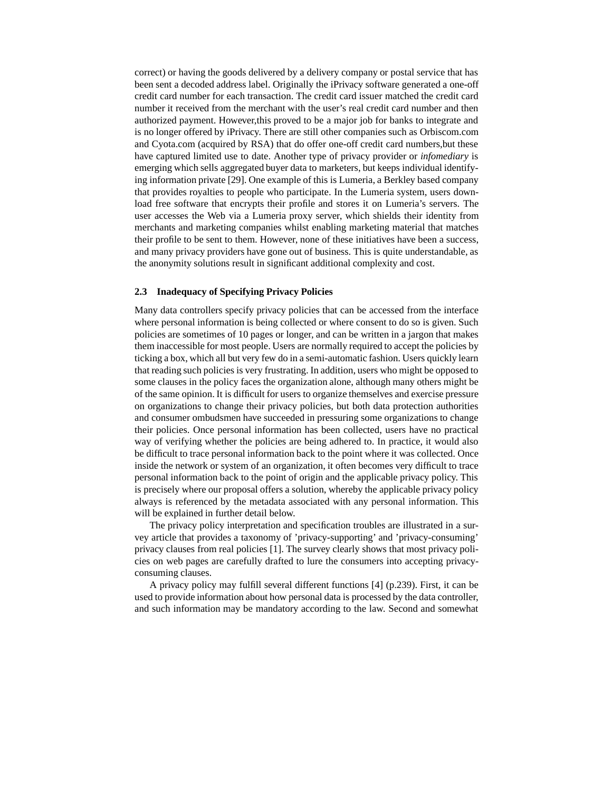correct) or having the goods delivered by a delivery company or postal service that has been sent a decoded address label. Originally the iPrivacy software generated a one-off credit card number for each transaction. The credit card issuer matched the credit card number it received from the merchant with the user's real credit card number and then authorized payment. However,this proved to be a major job for banks to integrate and is no longer offered by iPrivacy. There are still other companies such as Orbiscom.com and Cyota.com (acquired by RSA) that do offer one-off credit card numbers,but these have captured limited use to date. Another type of privacy provider or *infomediary* is emerging which sells aggregated buyer data to marketers, but keeps individual identifying information private [29]. One example of this is Lumeria, a Berkley based company that provides royalties to people who participate. In the Lumeria system, users download free software that encrypts their profile and stores it on Lumeria's servers. The user accesses the Web via a Lumeria proxy server, which shields their identity from merchants and marketing companies whilst enabling marketing material that matches their profile to be sent to them. However, none of these initiatives have been a success, and many privacy providers have gone out of business. This is quite understandable, as the anonymity solutions result in significant additional complexity and cost.

### **2.3 Inadequacy of Specifying Privacy Policies**

Many data controllers specify privacy policies that can be accessed from the interface where personal information is being collected or where consent to do so is given. Such policies are sometimes of 10 pages or longer, and can be written in a jargon that makes them inaccessible for most people. Users are normally required to accept the policies by ticking a box, which all but very few do in a semi-automatic fashion. Users quickly learn that reading such policies is very frustrating. In addition, users who might be opposed to some clauses in the policy faces the organization alone, although many others might be of the same opinion. It is difficult for users to organize themselves and exercise pressure on organizations to change their privacy policies, but both data protection authorities and consumer ombudsmen have succeeded in pressuring some organizations to change their policies. Once personal information has been collected, users have no practical way of verifying whether the policies are being adhered to. In practice, it would also be difficult to trace personal information back to the point where it was collected. Once inside the network or system of an organization, it often becomes very difficult to trace personal information back to the point of origin and the applicable privacy policy. This is precisely where our proposal offers a solution, whereby the applicable privacy policy always is referenced by the metadata associated with any personal information. This will be explained in further detail below.

The privacy policy interpretation and specification troubles are illustrated in a survey article that provides a taxonomy of 'privacy-supporting' and 'privacy-consuming' privacy clauses from real policies [1]. The survey clearly shows that most privacy policies on web pages are carefully drafted to lure the consumers into accepting privacyconsuming clauses.

A privacy policy may fulfill several different functions [4] (p.239). First, it can be used to provide information about how personal data is processed by the data controller, and such information may be mandatory according to the law. Second and somewhat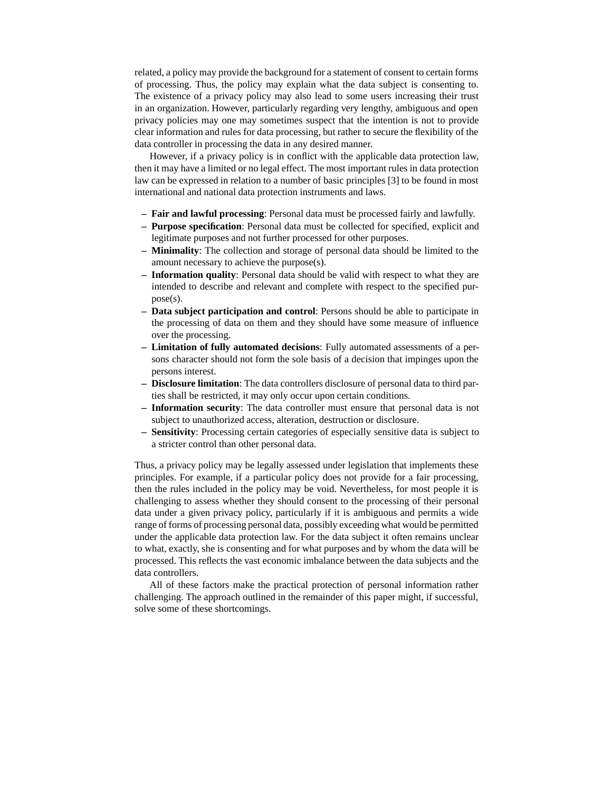related, a policy may provide the background for a statement of consent to certain forms of processing. Thus, the policy may explain what the data subject is consenting to. The existence of a privacy policy may also lead to some users increasing their trust in an organization. However, particularly regarding very lengthy, ambiguous and open privacy policies may one may sometimes suspect that the intention is not to provide clear information and rules for data processing, but rather to secure the flexibility of the data controller in processing the data in any desired manner.

However, if a privacy policy is in conflict with the applicable data protection law, then it may have a limited or no legal effect. The most important rules in data protection law can be expressed in relation to a number of basic principles [3] to be found in most international and national data protection instruments and laws.

- **Fair and lawful processing**: Personal data must be processed fairly and lawfully.
- **Purpose specification**: Personal data must be collected for specified, explicit and legitimate purposes and not further processed for other purposes.
- **Minimality**: The collection and storage of personal data should be limited to the amount necessary to achieve the purpose(s).
- **Information quality**: Personal data should be valid with respect to what they are intended to describe and relevant and complete with respect to the specified purpose(s).
- **Data subject participation and control**: Persons should be able to participate in the processing of data on them and they should have some measure of influence over the processing.
- **Limitation of fully automated decisions**: Fully automated assessments of a persons character should not form the sole basis of a decision that impinges upon the persons interest.
- **Disclosure limitation**: The data controllers disclosure of personal data to third parties shall be restricted, it may only occur upon certain conditions.
- **Information security**: The data controller must ensure that personal data is not subject to unauthorized access, alteration, destruction or disclosure.
- **Sensitivity**: Processing certain categories of especially sensitive data is subject to a stricter control than other personal data.

Thus, a privacy policy may be legally assessed under legislation that implements these principles. For example, if a particular policy does not provide for a fair processing, then the rules included in the policy may be void. Nevertheless, for most people it is challenging to assess whether they should consent to the processing of their personal data under a given privacy policy, particularly if it is ambiguous and permits a wide range of forms of processing personal data, possibly exceeding what would be permitted under the applicable data protection law. For the data subject it often remains unclear to what, exactly, she is consenting and for what purposes and by whom the data will be processed. This reflects the vast economic imbalance between the data subjects and the data controllers.

All of these factors make the practical protection of personal information rather challenging. The approach outlined in the remainder of this paper might, if successful, solve some of these shortcomings.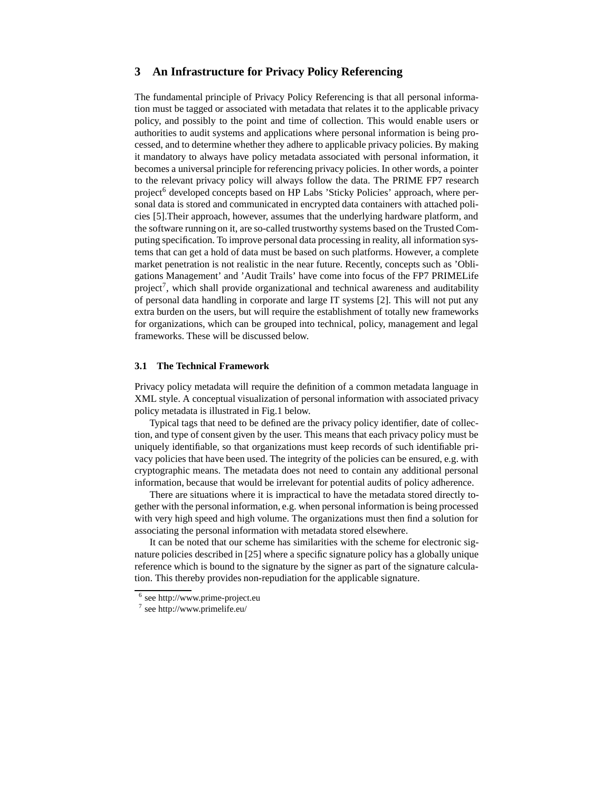# **3 An Infrastructure for Privacy Policy Referencing**

The fundamental principle of Privacy Policy Referencing is that all personal information must be tagged or associated with metadata that relates it to the applicable privacy policy, and possibly to the point and time of collection. This would enable users or authorities to audit systems and applications where personal information is being processed, and to determine whether they adhere to applicable privacy policies. By making it mandatory to always have policy metadata associated with personal information, it becomes a universal principle for referencing privacy policies. In other words, a pointer to the relevant privacy policy will always follow the data. The PRIME FP7 research project<sup>6</sup> developed concepts based on HP Labs 'Sticky Policies' approach, where personal data is stored and communicated in encrypted data containers with attached policies [5].Their approach, however, assumes that the underlying hardware platform, and the software running on it, are so-called trustworthy systems based on the Trusted Computing specification. To improve personal data processing in reality, all information systems that can get a hold of data must be based on such platforms. However, a complete market penetration is not realistic in the near future. Recently, concepts such as 'Obligations Management' and 'Audit Trails' have come into focus of the FP7 PRIMELife project<sup>7</sup>, which shall provide organizational and technical awareness and auditability of personal data handling in corporate and large IT systems [2]. This will not put any extra burden on the users, but will require the establishment of totally new frameworks for organizations, which can be grouped into technical, policy, management and legal frameworks. These will be discussed below.

## **3.1 The Technical Framework**

Privacy policy metadata will require the definition of a common metadata language in XML style. A conceptual visualization of personal information with associated privacy policy metadata is illustrated in Fig.1 below.

Typical tags that need to be defined are the privacy policy identifier, date of collection, and type of consent given by the user. This means that each privacy policy must be uniquely identifiable, so that organizations must keep records of such identifiable privacy policies that have been used. The integrity of the policies can be ensured, e.g. with cryptographic means. The metadata does not need to contain any additional personal information, because that would be irrelevant for potential audits of policy adherence.

There are situations where it is impractical to have the metadata stored directly together with the personal information, e.g. when personal information is being processed with very high speed and high volume. The organizations must then find a solution for associating the personal information with metadata stored elsewhere.

It can be noted that our scheme has similarities with the scheme for electronic signature policies described in [25] where a specific signature policy has a globally unique reference which is bound to the signature by the signer as part of the signature calculation. This thereby provides non-repudiation for the applicable signature.

<sup>6</sup> see http://www.prime-project.eu

<sup>7</sup> see http://www.primelife.eu/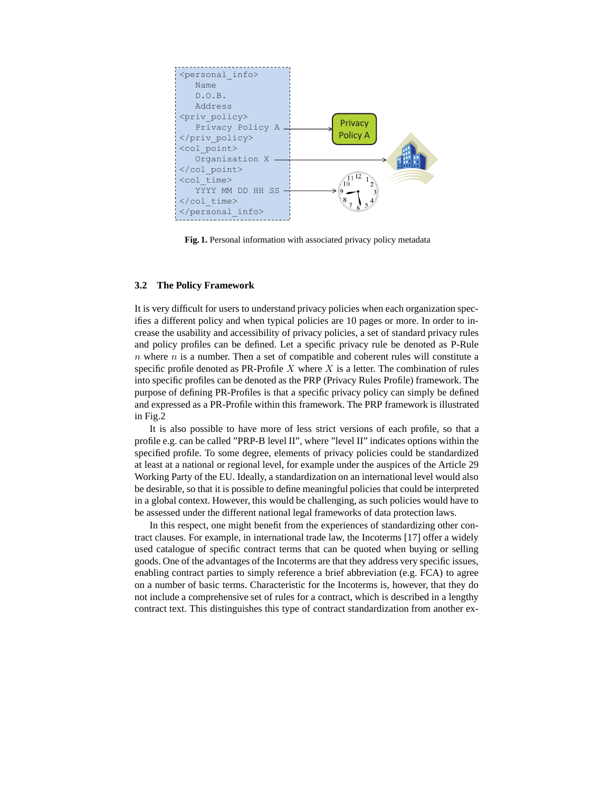

**Fig. 1.** Personal information with associated privacy policy metadata

### **3.2 The Policy Framework**

It is very difficult for users to understand privacy policies when each organization specifies a different policy and when typical policies are 10 pages or more. In order to increase the usability and accessibility of privacy policies, a set of standard privacy rules and policy profiles can be defined. Let a specific privacy rule be denoted as P-Rule *n* where *n* is a number. Then a set of compatible and coherent rules will constitute a specific profile denoted as PR-Profile *X* where *X* is a letter. The combination of rules into specific profiles can be denoted as the PRP (Privacy Rules Profile) framework. The purpose of defining PR-Profiles is that a specific privacy policy can simply be defined and expressed as a PR-Profile within this framework. The PRP framework is illustrated in Fig.2

It is also possible to have more of less strict versions of each profile, so that a profile e.g. can be called "PRP-B level II", where "level II" indicates options within the specified profile. To some degree, elements of privacy policies could be standardized at least at a national or regional level, for example under the auspices of the Article 29 Working Party of the EU. Ideally, a standardization on an international level would also be desirable, so that it is possible to define meaningful policies that could be interpreted in a global context. However, this would be challenging, as such policies would have to be assessed under the different national legal frameworks of data protection laws.

In this respect, one might benefit from the experiences of standardizing other contract clauses. For example, in international trade law, the Incoterms [17] offer a widely used catalogue of specific contract terms that can be quoted when buying or selling goods. One of the advantages of the Incoterms are that they address very specific issues, enabling contract parties to simply reference a brief abbreviation (e.g. FCA) to agree on a number of basic terms. Characteristic for the Incoterms is, however, that they do not include a comprehensive set of rules for a contract, which is described in a lengthy contract text. This distinguishes this type of contract standardization from another ex-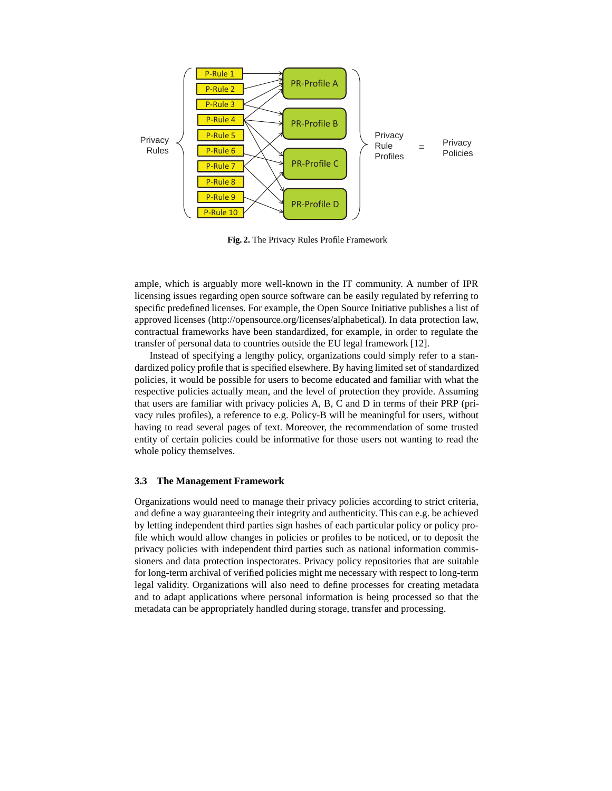

**Fig. 2.** The Privacy Rules Profile Framework

ample, which is arguably more well-known in the IT community. A number of IPR licensing issues regarding open source software can be easily regulated by referring to specific predefined licenses. For example, the Open Source Initiative publishes a list of approved licenses (http://opensource.org/licenses/alphabetical). In data protection law, contractual frameworks have been standardized, for example, in order to regulate the transfer of personal data to countries outside the EU legal framework [12].

Instead of specifying a lengthy policy, organizations could simply refer to a standardized policy profile that is specified elsewhere. By having limited set of standardized policies, it would be possible for users to become educated and familiar with what the respective policies actually mean, and the level of protection they provide. Assuming that users are familiar with privacy policies A, B, C and D in terms of their PRP (privacy rules profiles), a reference to e.g. Policy-B will be meaningful for users, without having to read several pages of text. Moreover, the recommendation of some trusted entity of certain policies could be informative for those users not wanting to read the whole policy themselves.

#### **3.3 The Management Framework**

Organizations would need to manage their privacy policies according to strict criteria, and define a way guaranteeing their integrity and authenticity. This can e.g. be achieved by letting independent third parties sign hashes of each particular policy or policy profile which would allow changes in policies or profiles to be noticed, or to deposit the privacy policies with independent third parties such as national information commissioners and data protection inspectorates. Privacy policy repositories that are suitable for long-term archival of verified policies might me necessary with respect to long-term legal validity. Organizations will also need to define processes for creating metadata and to adapt applications where personal information is being processed so that the metadata can be appropriately handled during storage, transfer and processing.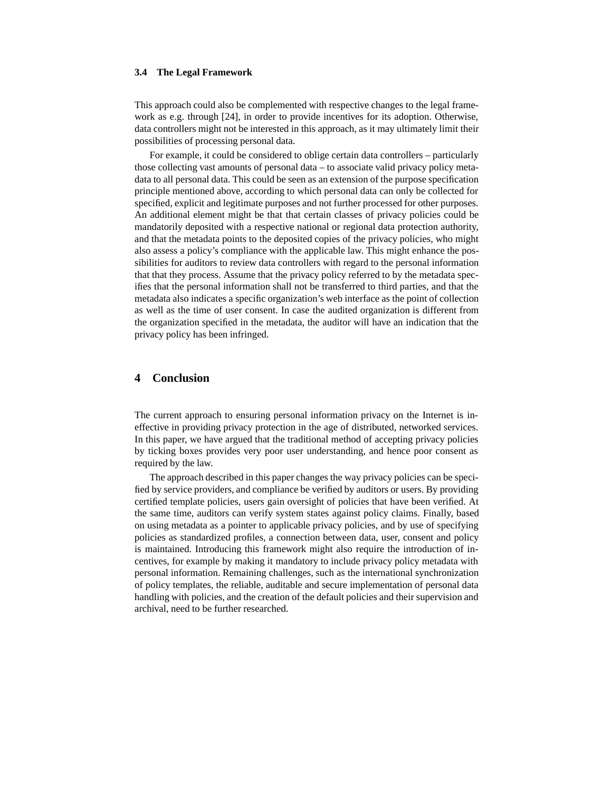## **3.4 The Legal Framework**

This approach could also be complemented with respective changes to the legal framework as e.g. through [24], in order to provide incentives for its adoption. Otherwise, data controllers might not be interested in this approach, as it may ultimately limit their possibilities of processing personal data.

For example, it could be considered to oblige certain data controllers – particularly those collecting vast amounts of personal data – to associate valid privacy policy metadata to all personal data. This could be seen as an extension of the purpose specification principle mentioned above, according to which personal data can only be collected for specified, explicit and legitimate purposes and not further processed for other purposes. An additional element might be that that certain classes of privacy policies could be mandatorily deposited with a respective national or regional data protection authority, and that the metadata points to the deposited copies of the privacy policies, who might also assess a policy's compliance with the applicable law. This might enhance the possibilities for auditors to review data controllers with regard to the personal information that that they process. Assume that the privacy policy referred to by the metadata specifies that the personal information shall not be transferred to third parties, and that the metadata also indicates a specific organization's web interface as the point of collection as well as the time of user consent. In case the audited organization is different from the organization specified in the metadata, the auditor will have an indication that the privacy policy has been infringed.

# **4 Conclusion**

The current approach to ensuring personal information privacy on the Internet is ineffective in providing privacy protection in the age of distributed, networked services. In this paper, we have argued that the traditional method of accepting privacy policies by ticking boxes provides very poor user understanding, and hence poor consent as required by the law.

The approach described in this paper changes the way privacy policies can be specified by service providers, and compliance be verified by auditors or users. By providing certified template policies, users gain oversight of policies that have been verified. At the same time, auditors can verify system states against policy claims. Finally, based on using metadata as a pointer to applicable privacy policies, and by use of specifying policies as standardized profiles, a connection between data, user, consent and policy is maintained. Introducing this framework might also require the introduction of incentives, for example by making it mandatory to include privacy policy metadata with personal information. Remaining challenges, such as the international synchronization of policy templates, the reliable, auditable and secure implementation of personal data handling with policies, and the creation of the default policies and their supervision and archival, need to be further researched.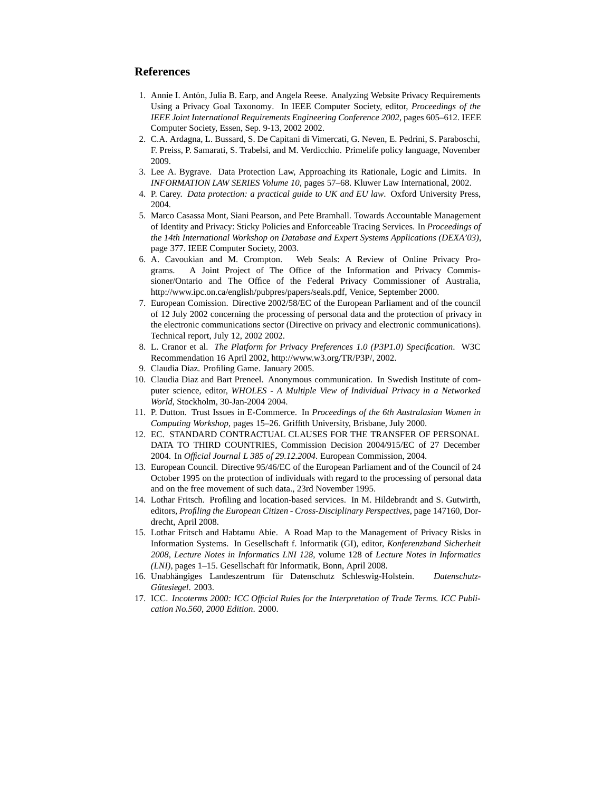# **References**

- 1. Annie I. Antón, Julia B. Earp, and Angela Reese. Analyzing Website Privacy Requirements Using a Privacy Goal Taxonomy. In IEEE Computer Society, editor, *Proceedings of the IEEE Joint International Requirements Engineering Conference 2002*, pages 605–612. IEEE Computer Society, Essen, Sep. 9-13, 2002 2002.
- 2. C.A. Ardagna, L. Bussard, S. De Capitani di Vimercati, G. Neven, E. Pedrini, S. Paraboschi, F. Preiss, P. Samarati, S. Trabelsi, and M. Verdicchio. Primelife policy language, November 2009.
- 3. Lee A. Bygrave. Data Protection Law, Approaching its Rationale, Logic and Limits. In *INFORMATION LAW SERIES Volume 10*, pages 57–68. Kluwer Law International, 2002.
- 4. P. Carey. *Data protection: a practical guide to UK and EU law*. Oxford University Press, 2004.
- 5. Marco Casassa Mont, Siani Pearson, and Pete Bramhall. Towards Accountable Management of Identity and Privacy: Sticky Policies and Enforceable Tracing Services. In *Proceedings of the 14th International Workshop on Database and Expert Systems Applications (DEXA'03)*, page 377. IEEE Computer Society, 2003.
- 6. A. Cavoukian and M. Crompton. Web Seals: A Review of Online Privacy Programs. A Joint Project of The Office of the Information and Privacy Commissioner/Ontario and The Office of the Federal Privacy Commissioner of Australia, http://www.ipc.on.ca/english/pubpres/papers/seals.pdf, Venice, September 2000.
- 7. European Comission. Directive 2002/58/EC of the European Parliament and of the council of 12 July 2002 concerning the processing of personal data and the protection of privacy in the electronic communications sector (Directive on privacy and electronic communications). Technical report, July 12, 2002 2002.
- 8. L. Cranor et al. *The Platform for Privacy Preferences 1.0 (P3P1.0) Specification*. W3C Recommendation 16 April 2002, http://www.w3.org/TR/P3P/, 2002.
- 9. Claudia Diaz. Profiling Game. January 2005.
- 10. Claudia Diaz and Bart Preneel. Anonymous communication. In Swedish Institute of computer science, editor, *WHOLES - A Multiple View of Individual Privacy in a Networked World*, Stockholm, 30-Jan-2004 2004.
- 11. P. Dutton. Trust Issues in E-Commerce. In *Proceedings of the 6th Australasian Women in Computing Workshop*, pages 15–26. Griffith University, Brisbane, July 2000.
- 12. EC. STANDARD CONTRACTUAL CLAUSES FOR THE TRANSFER OF PERSONAL DATA TO THIRD COUNTRIES, Commission Decision 2004/915/EC of 27 December 2004. In *Official Journal L 385 of 29.12.2004*. European Commission, 2004.
- 13. European Council. Directive 95/46/EC of the European Parliament and of the Council of 24 October 1995 on the protection of individuals with regard to the processing of personal data and on the free movement of such data., 23rd November 1995.
- 14. Lothar Fritsch. Profiling and location-based services. In M. Hildebrandt and S. Gutwirth, editors, *Profiling the European Citizen - Cross-Disciplinary Perspectives*, page 147160, Dordrecht, April 2008.
- 15. Lothar Fritsch and Habtamu Abie. A Road Map to the Management of Privacy Risks in Information Systems. In Gesellschaft f. Informatik (GI), editor, *Konferenzband Sicherheit 2008, Lecture Notes in Informatics LNI 128*, volume 128 of *Lecture Notes in Informatics (LNI)*, pages 1–15. Gesellschaft für Informatik, Bonn, April 2008.
- 16. Unabhängiges Landeszentrum für Datenschutz Schleswig-Holstein. Datenschutz-*G¨utesiegel*. 2003.
- 17. ICC. *Incoterms 2000: ICC Official Rules for the Interpretation of Trade Terms. ICC Publication No.560, 2000 Edition*. 2000.